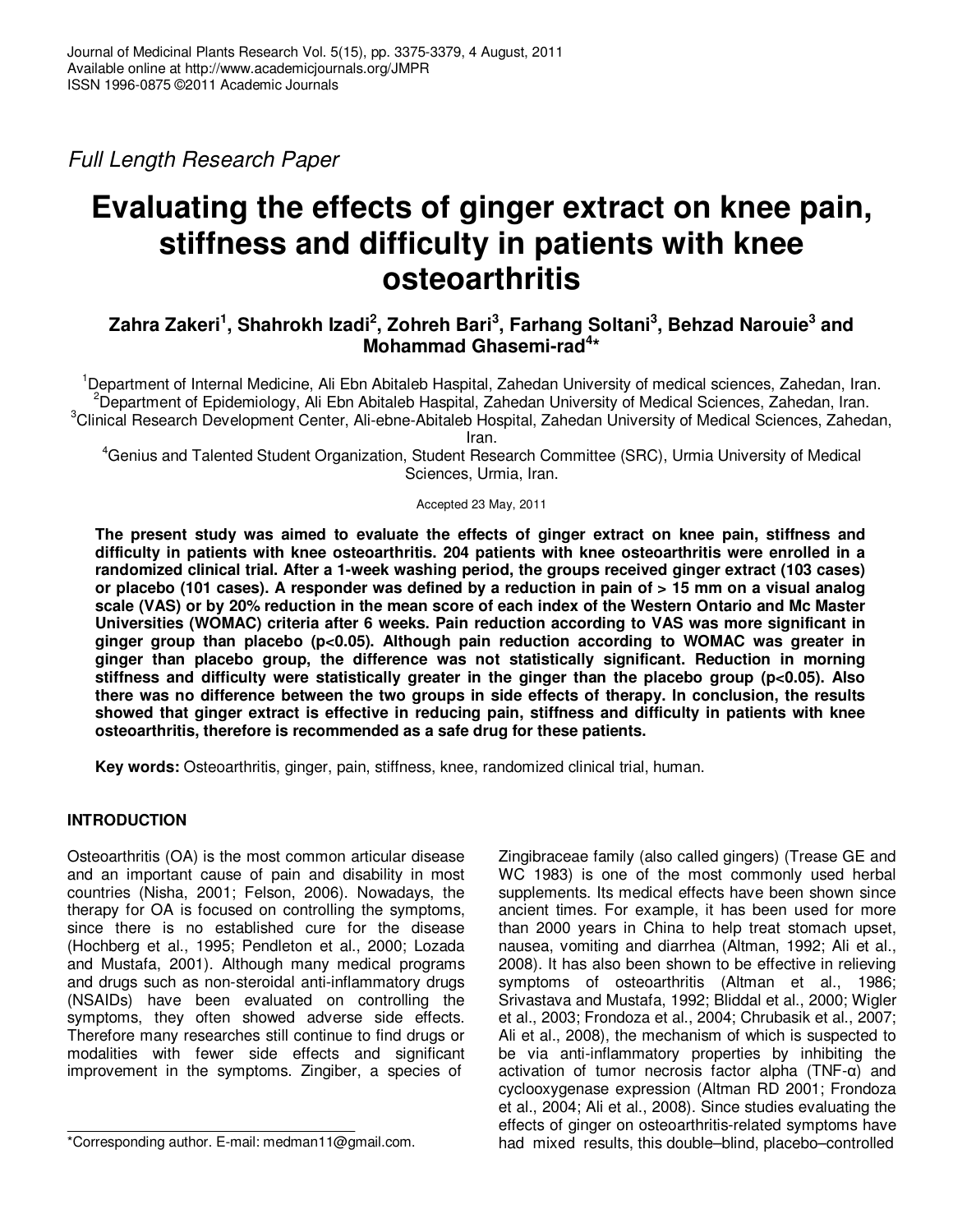Full Length Research Paper

# **Evaluating the effects of ginger extract on knee pain, stiffness and difficulty in patients with knee osteoarthritis**

# **Zahra Zakeri<sup>1</sup> , Shahrokh Izadi<sup>2</sup> , Zohreh Bari<sup>3</sup> , Farhang Soltani<sup>3</sup> , Behzad Narouie<sup>3</sup> and Mohammad Ghasemi-rad<sup>4</sup> \***

<sup>1</sup>Department of Internal Medicine, Ali Ebn Abitaleb Haspital, Zahedan University of medical sciences, Zahedan, Iran. <sup>2</sup>Department of Epidemiology, Ali Ebn Abitaleb Haspital, Zahedan University of Medical Sciences, Zahedan, Iran. <sup>3</sup>Clinical Research Development Center, Ali-ebne-Abitaleb Hospital, Zahedan University of Medical Sciences, Zahedan,

Iran.

<sup>4</sup>Genius and Talented Student Organization, Student Research Committee (SRC), Urmia University of Medical Sciences, Urmia, Iran.

Accepted 23 May, 2011

**The present study was aimed to evaluate the effects of ginger extract on knee pain, stiffness and difficulty in patients with knee osteoarthritis. 204 patients with knee osteoarthritis were enrolled in a randomized clinical trial. After a 1-week washing period, the groups received ginger extract (103 cases) or placebo (101 cases). A responder was defined by a reduction in pain of > 15 mm on a visual analog scale (VAS) or by 20% reduction in the mean score of each index of the Western Ontario and Mc Master Universities (WOMAC) criteria after 6 weeks. Pain reduction according to VAS was more significant in ginger group than placebo (p<0.05). Although pain reduction according to WOMAC was greater in ginger than placebo group, the difference was not statistically significant. Reduction in morning stiffness and difficulty were statistically greater in the ginger than the placebo group (p<0.05). Also there was no difference between the two groups in side effects of therapy. In conclusion, the results showed that ginger extract is effective in reducing pain, stiffness and difficulty in patients with knee osteoarthritis, therefore is recommended as a safe drug for these patients.** 

**Key words:** Osteoarthritis, ginger, pain, stiffness, knee, randomized clinical trial, human.

## **INTRODUCTION**

Osteoarthritis (OA) is the most common articular disease and an important cause of pain and disability in most countries (Nisha, 2001; Felson, 2006). Nowadays, the therapy for OA is focused on controlling the symptoms, since there is no established cure for the disease (Hochberg et al., 1995; Pendleton et al., 2000; Lozada and Mustafa, 2001). Although many medical programs and drugs such as non-steroidal anti-inflammatory drugs (NSAIDs) have been evaluated on controlling the symptoms, they often showed adverse side effects. Therefore many researches still continue to find drugs or modalities with fewer side effects and significant improvement in the symptoms. Zingiber, a species of

Zingibraceae family (also called gingers) (Trease GE and WC 1983) is one of the most commonly used herbal supplements. Its medical effects have been shown since ancient times. For example, it has been used for more than 2000 years in China to help treat stomach upset, nausea, vomiting and diarrhea (Altman, 1992; Ali et al., 2008). It has also been shown to be effective in relieving symptoms of osteoarthritis (Altman et al., 1986; Srivastava and Mustafa, 1992; Bliddal et al., 2000; Wigler et al., 2003; Frondoza et al., 2004; Chrubasik et al., 2007; Ali et al., 2008), the mechanism of which is suspected to be via anti-inflammatory properties by inhibiting the activation of tumor necrosis factor alpha (TNF-α) and cyclooxygenase expression (Altman RD 2001; Frondoza et al., 2004; Ali et al., 2008). Since studies evaluating the effects of ginger on osteoarthritis-related symptoms have had mixed results, this double–blind, placebo–controlled

<sup>\*</sup>Corresponding author. E-mail: medman11@gmail.com.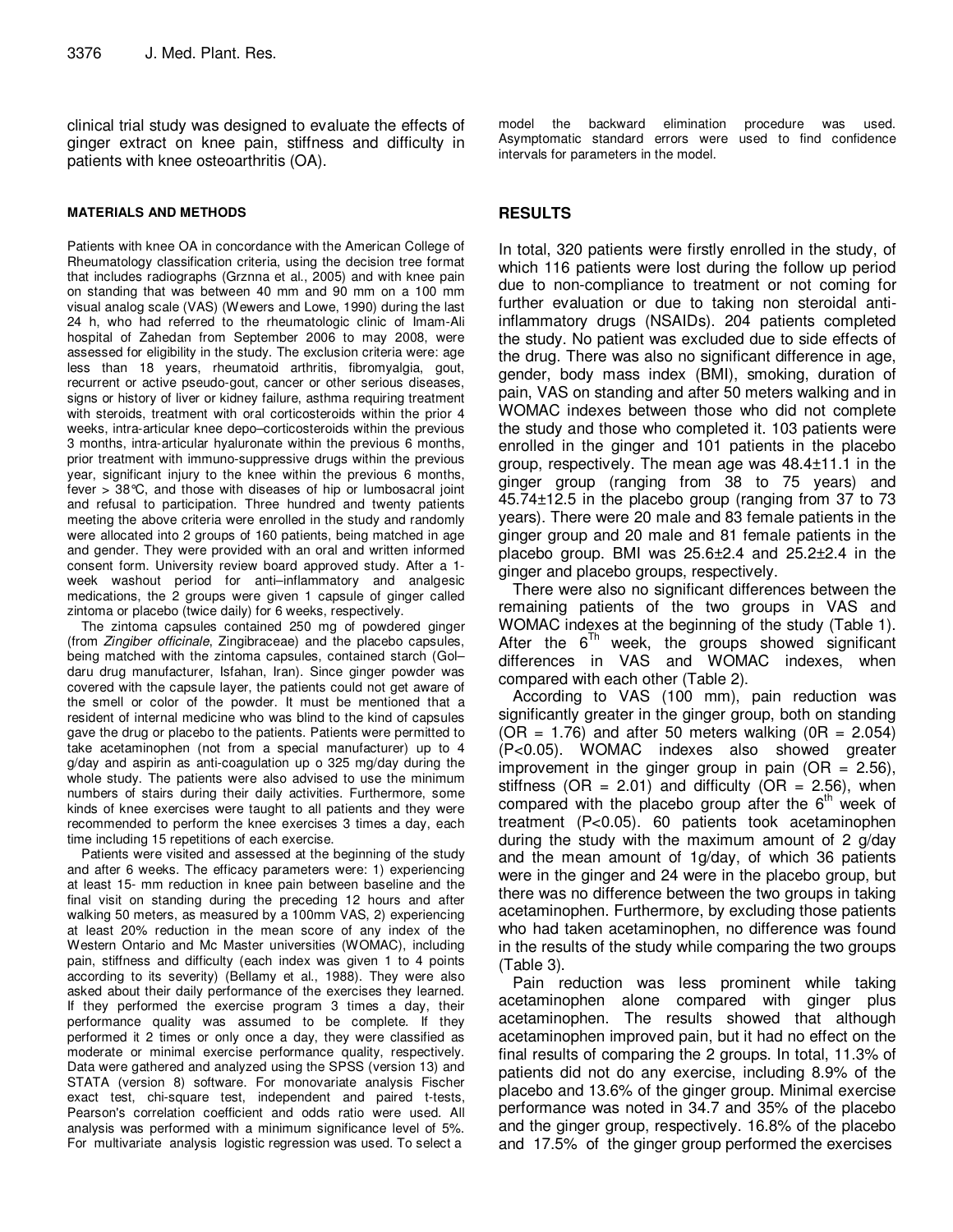clinical trial study was designed to evaluate the effects of ginger extract on knee pain, stiffness and difficulty in patients with knee osteoarthritis (OA).

#### **MATERIALS AND METHODS**

Patients with knee OA in concordance with the American College of Rheumatology classification criteria, using the decision tree format that includes radiographs (Grznna et al., 2005) and with knee pain on standing that was between 40 mm and 90 mm on a 100 mm visual analog scale (VAS) (Wewers and Lowe, 1990) during the last 24 h, who had referred to the rheumatologic clinic of Imam-Ali hospital of Zahedan from September 2006 to may 2008, were assessed for eligibility in the study. The exclusion criteria were: age less than 18 years, rheumatoid arthritis, fibromyalgia, gout, recurrent or active pseudo-gout, cancer or other serious diseases, signs or history of liver or kidney failure, asthma requiring treatment with steroids, treatment with oral corticosteroids within the prior 4 weeks, intra-articular knee depo–corticosteroids within the previous 3 months, intra-articular hyaluronate within the previous 6 months, prior treatment with immuno-suppressive drugs within the previous year, significant injury to the knee within the previous 6 months, fever > 38°C, and those with diseases of hip or lumbosacral joint and refusal to participation. Three hundred and twenty patients meeting the above criteria were enrolled in the study and randomly were allocated into 2 groups of 160 patients, being matched in age and gender. They were provided with an oral and written informed consent form. University review board approved study. After a 1 week washout period for anti–inflammatory and analgesic medications, the 2 groups were given 1 capsule of ginger called zintoma or placebo (twice daily) for 6 weeks, respectively.

The zintoma capsules contained 250 mg of powdered ginger (from Zingiber officinale, Zingibraceae) and the placebo capsules, being matched with the zintoma capsules, contained starch (Gol– daru drug manufacturer, Isfahan, Iran). Since ginger powder was covered with the capsule layer, the patients could not get aware of the smell or color of the powder. It must be mentioned that a resident of internal medicine who was blind to the kind of capsules gave the drug or placebo to the patients. Patients were permitted to take acetaminophen (not from a special manufacturer) up to 4 g/day and aspirin as anti-coagulation up o 325 mg/day during the whole study. The patients were also advised to use the minimum numbers of stairs during their daily activities. Furthermore, some kinds of knee exercises were taught to all patients and they were recommended to perform the knee exercises 3 times a day, each time including 15 repetitions of each exercise.

Patients were visited and assessed at the beginning of the study and after 6 weeks. The efficacy parameters were: 1) experiencing at least 15- mm reduction in knee pain between baseline and the final visit on standing during the preceding 12 hours and after walking 50 meters, as measured by a 100mm VAS, 2) experiencing at least 20% reduction in the mean score of any index of the Western Ontario and Mc Master universities (WOMAC), including pain, stiffness and difficulty (each index was given 1 to 4 points according to its severity) (Bellamy et al., 1988). They were also asked about their daily performance of the exercises they learned. If they performed the exercise program 3 times a day, their performance quality was assumed to be complete. If they performed it 2 times or only once a day, they were classified as moderate or minimal exercise performance quality, respectively. Data were gathered and analyzed using the SPSS (version 13) and STATA (version 8) software. For monovariate analysis Fischer exact test, chi-square test, independent and paired t-tests, Pearson's correlation coefficient and odds ratio were used. All analysis was performed with a minimum significance level of 5%. For multivariate analysis logistic regression was used. To select a

model the backward elimination procedure was used. Asymptomatic standard errors were used to find confidence intervals for parameters in the model.

#### **RESULTS**

In total, 320 patients were firstly enrolled in the study, of which 116 patients were lost during the follow up period due to non-compliance to treatment or not coming for further evaluation or due to taking non steroidal antiinflammatory drugs (NSAIDs). 204 patients completed the study. No patient was excluded due to side effects of the drug. There was also no significant difference in age, gender, body mass index (BMI), smoking, duration of pain, VAS on standing and after 50 meters walking and in WOMAC indexes between those who did not complete the study and those who completed it. 103 patients were enrolled in the ginger and 101 patients in the placebo group, respectively. The mean age was 48.4±11.1 in the ginger group (ranging from 38 to 75 years) and 45.74±12.5 in the placebo group (ranging from 37 to 73 years). There were 20 male and 83 female patients in the ginger group and 20 male and 81 female patients in the placebo group. BMI was  $25.6\pm2.4$  and  $25.2\pm2.4$  in the ginger and placebo groups, respectively.

There were also no significant differences between the remaining patients of the two groups in VAS and WOMAC indexes at the beginning of the study (Table 1). After the  $6^{Th}$  week, the groups showed significant differences in VAS and WOMAC indexes, when compared with each other (Table 2).

According to VAS (100 mm), pain reduction was significantly greater in the ginger group, both on standing  $(OR = 1.76)$  and after 50 meters walking  $(OR = 2.054)$ (P<0.05). WOMAC indexes also showed greater improvement in the ginger group in pain (OR =  $2.56$ ), stiffness ( $OR = 2.01$ ) and difficulty ( $OR = 2.56$ ), when compared with the placebo group after the  $6<sup>th</sup>$  week of treatment (P<0.05). 60 patients took acetaminophen during the study with the maximum amount of 2 g/day and the mean amount of 1g/day, of which 36 patients were in the ginger and 24 were in the placebo group, but there was no difference between the two groups in taking acetaminophen. Furthermore, by excluding those patients who had taken acetaminophen, no difference was found in the results of the study while comparing the two groups (Table 3).

Pain reduction was less prominent while taking acetaminophen alone compared with ginger plus acetaminophen. The results showed that although acetaminophen improved pain, but it had no effect on the final results of comparing the 2 groups. In total, 11.3% of patients did not do any exercise, including 8.9% of the placebo and 13.6% of the ginger group. Minimal exercise performance was noted in 34.7 and 35% of the placebo and the ginger group, respectively. 16.8% of the placebo and 17.5% of the ginger group performed the exercises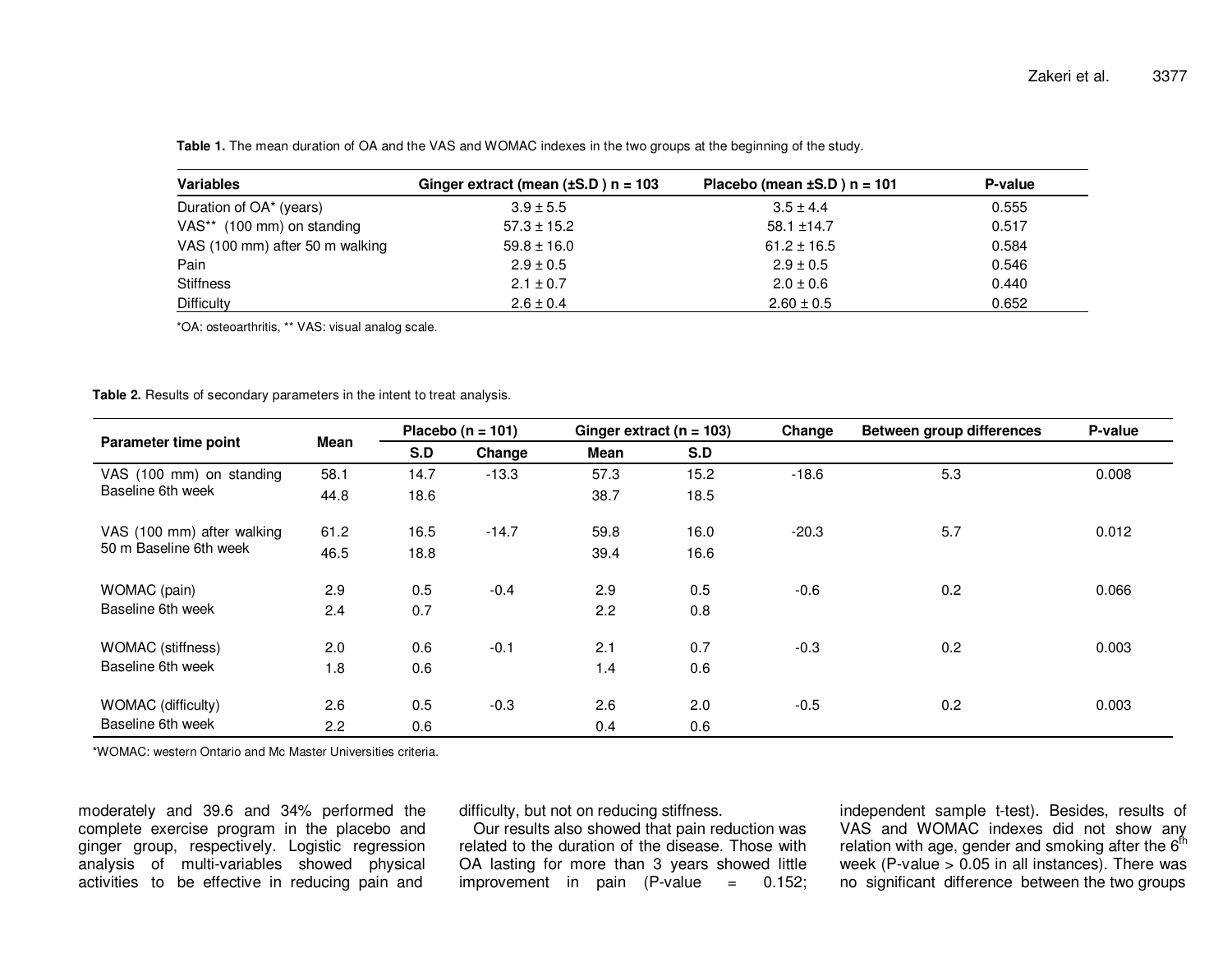| <b>Variables</b>                       | Ginger extract (mean $(\pm S.D)$ n = 103 | Placebo (mean $\pm$ S.D) n = 101 | P-value |
|----------------------------------------|------------------------------------------|----------------------------------|---------|
| Duration of OA* (years)                | $3.9 \pm 5.5$                            | $3.5 \pm 4.4$                    | 0.555   |
| VAS <sup>**</sup> (100 mm) on standing | $57.3 \pm 15.2$                          | $58.1 \pm 14.7$                  | 0.517   |
| VAS (100 mm) after 50 m walking        | $59.8 \pm 16.0$                          | $61.2 \pm 16.5$                  | 0.584   |
| Pain                                   | $2.9 \pm 0.5$                            | $2.9 \pm 0.5$                    | 0.546   |
| <b>Stiffness</b>                       | $2.1 \pm 0.7$                            | $2.0 \pm 0.6$                    | 0.440   |
| <b>Difficulty</b>                      | $2.6 \pm 0.4$                            | $2.60 \pm 0.5$                   | 0.652   |

**Table 1.** The mean duration of OA and the VAS and WOMAC indexes in the two groups at the beginning of the study.

\*OA: osteoarthritis, \*\* VAS: visual analog scale.

**Table 2.** Results of secondary parameters in the intent to treat analysis.

| Parameter time point                                 | Mean | Placebo ( $n = 101$ ) |         | Ginger extract ( $n = 103$ ) |      | Change  | Between group differences | P-value |
|------------------------------------------------------|------|-----------------------|---------|------------------------------|------|---------|---------------------------|---------|
|                                                      |      | S.D                   | Change  | <b>Mean</b>                  | S.D  |         |                           |         |
| VAS (100 mm) on standing<br>Baseline 6th week        | 58.1 | 14.7                  | $-13.3$ | 57.3                         | 15.2 | $-18.6$ | 5.3                       | 0.008   |
|                                                      | 44.8 | 18.6                  |         | 38.7                         | 18.5 |         |                           |         |
| VAS (100 mm) after walking<br>50 m Baseline 6th week | 61.2 | 16.5                  | $-14.7$ | 59.8                         | 16.0 | $-20.3$ | 5.7                       | 0.012   |
|                                                      | 46.5 | 18.8                  |         | 39.4                         | 16.6 |         |                           |         |
| WOMAC (pain)                                         | 2.9  | 0.5                   | $-0.4$  | 2.9                          | 0.5  | $-0.6$  | 0.2                       | 0.066   |
| Baseline 6th week                                    | 2.4  | 0.7                   |         | 2.2                          | 0.8  |         |                           |         |
| <b>WOMAC</b> (stiffness)                             | 2.0  | 0.6                   | $-0.1$  | 2.1                          | 0.7  | $-0.3$  | 0.2                       | 0.003   |
| Baseline 6th week                                    | 1.8  | 0.6                   |         | 1.4                          | 0.6  |         |                           |         |
| <b>WOMAC</b> (difficulty)                            | 2.6  | 0.5                   | $-0.3$  | 2.6                          | 2.0  | $-0.5$  | 0.2                       | 0.003   |
| Baseline 6th week                                    | 2.2  | 0.6                   |         | 0.4                          | 0.6  |         |                           |         |

\*WOMAC: western Ontario and Mc Master Universities criteria.

moderately and 39.6 and 34% performed the complete exercise program in the placebo and ginger group, respectively. Logistic regression analysis of multi-variables showed physical activities to be effective in reducing pain and

difficulty, but not on reducing stiffness.

 Our results also showed that pain reduction was related to the duration of the disease. Those with OA lasting for more than 3 years showed little  $= 0.152$ ;  $improvement$  in pain  $(P-value$ 

independent sample t-test). Besides, results of VAS and WOMAC indexes did not show any<br>relation with age, gender and smoking after the 6<sup>th</sup> week (P-value > 0.05 in all instances). There was no significant difference between the two groups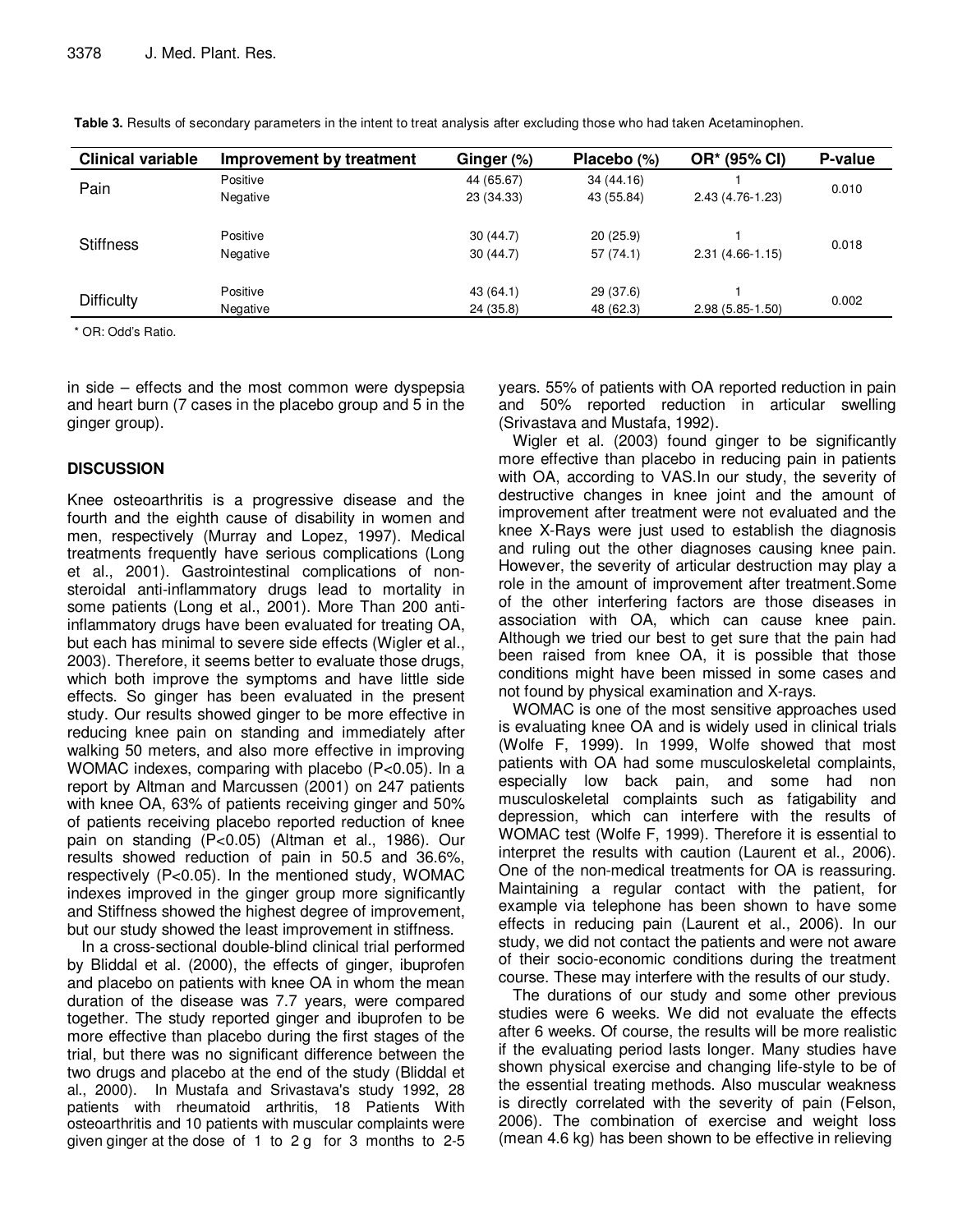| <b>Clinical variable</b> | Improvement by treatment | Ginger (%)            | Placebo $(\%)$ | OR* (95% CI)        | P-value |  |
|--------------------------|--------------------------|-----------------------|----------------|---------------------|---------|--|
| Pain                     | Positive                 | 44 (65.67)            | 34 (44.16)     |                     | 0.010   |  |
|                          | Negative                 | 23 (34.33)            | 43 (55.84)     | 2.43 (4.76-1.23)    |         |  |
| <b>Stiffness</b>         | Positive                 | 30(44.7)              | 20(25.9)       |                     | 0.018   |  |
|                          | Negative                 | 30(44.7)              | 57(74.1)       | $2.31(4.66-1.15)$   |         |  |
| <b>Difficulty</b>        | Positive                 | 43(64.1)<br>29 (37.6) |                |                     |         |  |
|                          | Negative                 | 24 (35.8)             | 48 (62.3)      | $2.98(5.85 - 1.50)$ | 0.002   |  |
|                          |                          |                       |                |                     |         |  |

**Table 3.** Results of secondary parameters in the intent to treat analysis after excluding those who had taken Acetaminophen.

\* OR: Odd's Ratio.

in side – effects and the most common were dyspepsia and heart burn (7 cases in the placebo group and 5 in the ginger group).

### **DISCUSSION**

Knee osteoarthritis is a progressive disease and the fourth and the eighth cause of disability in women and men, respectively (Murray and Lopez, 1997). Medical treatments frequently have serious complications (Long et al., 2001). Gastrointestinal complications of nonsteroidal anti-inflammatory drugs lead to mortality in some patients (Long et al., 2001). More Than 200 antiinflammatory drugs have been evaluated for treating OA, but each has minimal to severe side effects (Wigler et al., 2003). Therefore, it seems better to evaluate those drugs, which both improve the symptoms and have little side effects. So ginger has been evaluated in the present study. Our results showed ginger to be more effective in reducing knee pain on standing and immediately after walking 50 meters, and also more effective in improving WOMAC indexes, comparing with placebo (P<0.05). In a report by Altman and Marcussen (2001) on 247 patients with knee OA, 63% of patients receiving ginger and 50% of patients receiving placebo reported reduction of knee pain on standing (P<0.05) (Altman et al., 1986). Our results showed reduction of pain in 50.5 and 36.6%, respectively (P<0.05). In the mentioned study, WOMAC indexes improved in the ginger group more significantly and Stiffness showed the highest degree of improvement, but our study showed the least improvement in stiffness.

In a cross-sectional double-blind clinical trial performed by Bliddal et al. (2000), the effects of ginger, ibuprofen and placebo on patients with knee OA in whom the mean duration of the disease was 7.7 years, were compared together. The study reported ginger and ibuprofen to be more effective than placebo during the first stages of the trial, but there was no significant difference between the two drugs and placebo at the end of the study (Bliddal et al., 2000). In Mustafa and Srivastava's study 1992, 28 patients with rheumatoid arthritis, 18 Patients With osteoarthritis and 10 patients with muscular complaints were given ginger at the dose of 1 to 2 g for 3 months to 2-5 years. 55% of patients with OA reported reduction in pain and 50% reported reduction in articular swelling (Srivastava and Mustafa, 1992).

Wigler et al. (2003) found ginger to be significantly more effective than placebo in reducing pain in patients with OA, according to VAS.In our study, the severity of destructive changes in knee joint and the amount of improvement after treatment were not evaluated and the knee X-Rays were just used to establish the diagnosis and ruling out the other diagnoses causing knee pain. However, the severity of articular destruction may play a role in the amount of improvement after treatment.Some of the other interfering factors are those diseases in association with OA, which can cause knee pain. Although we tried our best to get sure that the pain had been raised from knee OA, it is possible that those conditions might have been missed in some cases and not found by physical examination and X-rays.

WOMAC is one of the most sensitive approaches used is evaluating knee OA and is widely used in clinical trials (Wolfe F, 1999). In 1999, Wolfe showed that most patients with OA had some musculoskeletal complaints, especially low back pain, and some had non musculoskeletal complaints such as fatigability and depression, which can interfere with the results of WOMAC test (Wolfe F, 1999). Therefore it is essential to interpret the results with caution (Laurent et al., 2006). One of the non-medical treatments for OA is reassuring. Maintaining a regular contact with the patient, for example via telephone has been shown to have some effects in reducing pain (Laurent et al., 2006). In our study, we did not contact the patients and were not aware of their socio-economic conditions during the treatment course. These may interfere with the results of our study.

The durations of our study and some other previous studies were 6 weeks. We did not evaluate the effects after 6 weeks. Of course, the results will be more realistic if the evaluating period lasts longer. Many studies have shown physical exercise and changing life-style to be of the essential treating methods. Also muscular weakness is directly correlated with the severity of pain (Felson, 2006). The combination of exercise and weight loss (mean 4.6 kg) has been shown to be effective in relieving